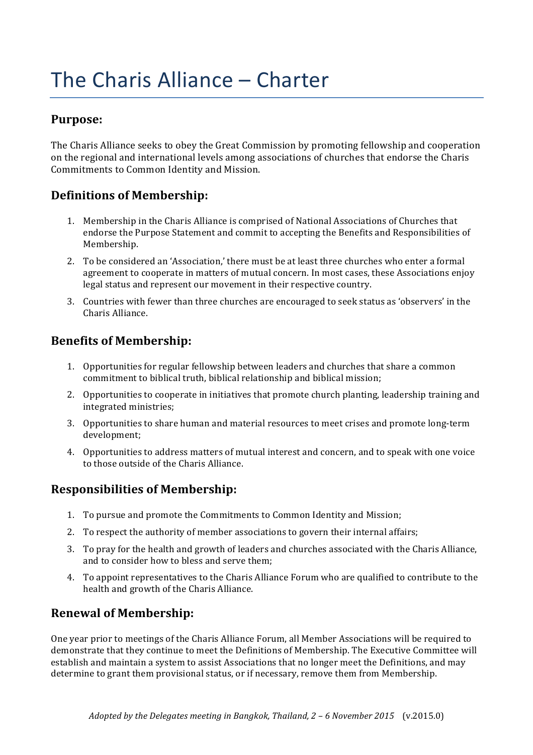# The Charis Alliance - Charter

### **Purpose:**

The Charis Alliance seeks to obey the Great Commission by promoting fellowship and cooperation on the regional and international levels among associations of churches that endorse the Charis Commitments to Common Identity and Mission.

## **Definitions of Membership:**

- 1. Membership in the Charis Alliance is comprised of National Associations of Churches that endorse the Purpose Statement and commit to accepting the Benefits and Responsibilities of Membership.
- 2. To be considered an 'Association,' there must be at least three churches who enter a formal agreement to cooperate in matters of mutual concern. In most cases, these Associations enjoy legal status and represent our movement in their respective country.
- 3. Countries with fewer than three churches are encouraged to seek status as 'observers' in the Charis Alliance.

### **Benefits of Membership:**

- 1. Opportunities for regular fellowship between leaders and churches that share a common commitment to biblical truth, biblical relationship and biblical mission;
- 2. Opportunities to cooperate in initiatives that promote church planting, leadership training and integrated ministries;
- 3. Opportunities to share human and material resources to meet crises and promote long-term development;
- 4. Opportunities to address matters of mutual interest and concern, and to speak with one voice to those outside of the Charis Alliance.

### **Responsibilities of Membership:**

- 1. To pursue and promote the Commitments to Common Identity and Mission;
- 2. To respect the authority of member associations to govern their internal affairs;
- 3. To pray for the health and growth of leaders and churches associated with the Charis Alliance, and to consider how to bless and serve them;
- 4. To appoint representatives to the Charis Alliance Forum who are qualified to contribute to the health and growth of the Charis Alliance.

### **Renewal of Membership:**

One year prior to meetings of the Charis Alliance Forum, all Member Associations will be required to demonstrate that they continue to meet the Definitions of Membership. The Executive Committee will establish and maintain a system to assist Associations that no longer meet the Definitions, and may determine to grant them provisional status, or if necessary, remove them from Membership.